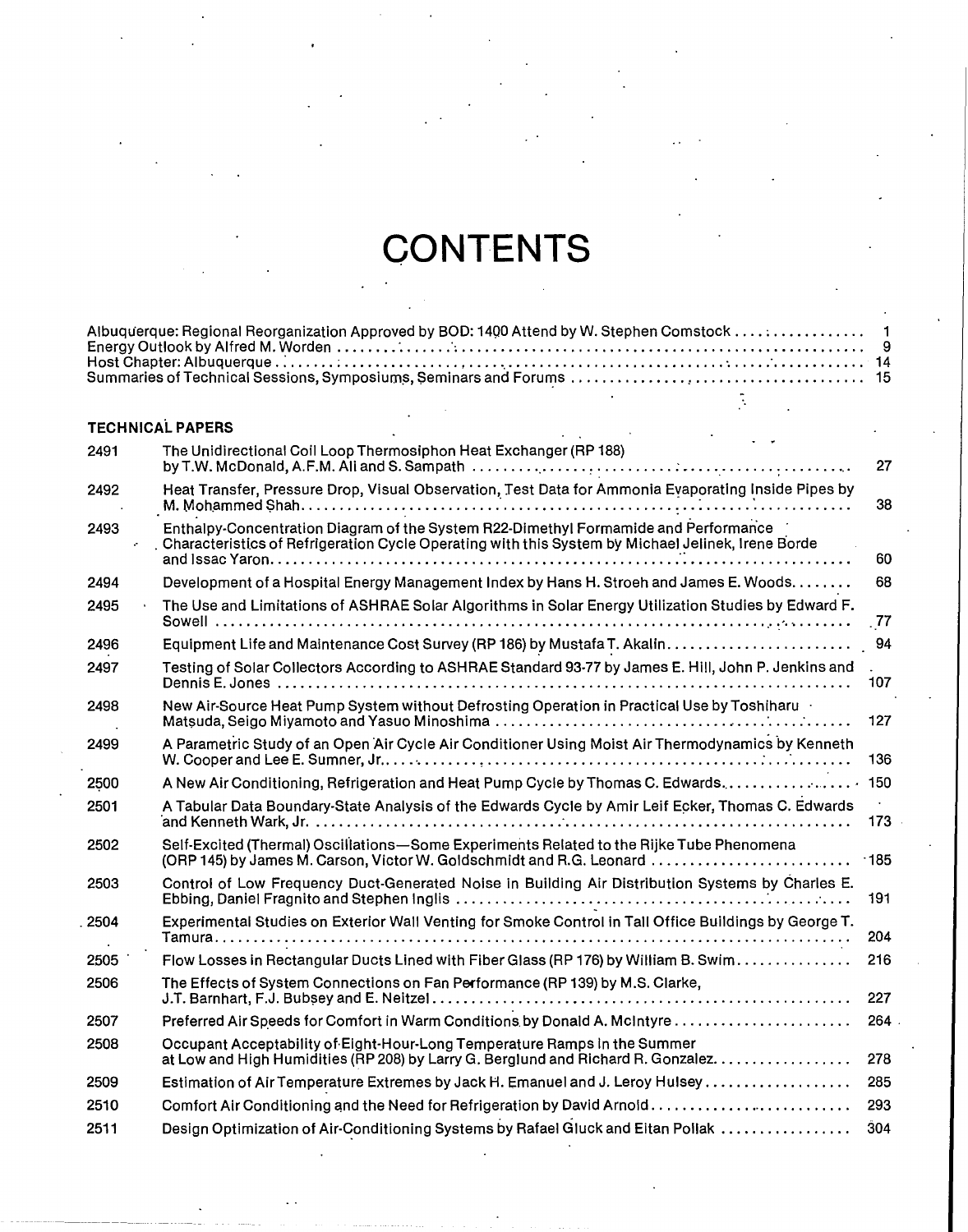## **CONTENTS**

## **TECHNICAL PAPERS**

| 2491 | The Unidirectional Coil Loop Thermosiphon Heat Exchanger (RP 188)                                                                                                                        | 27     |
|------|------------------------------------------------------------------------------------------------------------------------------------------------------------------------------------------|--------|
| 2492 | Heat Transfer, Pressure Drop, Visual Observation, Test Data for Ammonia Evaporating Inside Pipes by                                                                                      | 38     |
| 2493 | Enthalpy-Concentration Diagram of the System R22-Dimethyl Formamide and Performance<br>Characteristics of Refrigeration Cycle Operating with this System by Michael Jelinek, Irene Borde | 60     |
| 2494 | Development of a Hospital Energy Management Index by Hans H. Stroeh and James E. Woods.                                                                                                  | 68     |
| 2495 | The Use and Limitations of ASHRAE Solar Algorithms in Solar Energy Utilization Studies by Edward F.                                                                                      | .77    |
| 2496 |                                                                                                                                                                                          | 94     |
| 2497 | Testing of Solar Collectors According to ASHRAE Standard 93-77 by James E. Hill, John P. Jenkins and                                                                                     | 107    |
| 2498 | New Air-Source Heat Pump System without Defrosting Operation in Practical Use by Toshiharu                                                                                               | 127    |
| 2499 | A Parametric Study of an Open Air Cycle Air Conditioner Using Moist Air Thermodynamics by Kenneth                                                                                        | 136    |
| 2500 | A New Air Conditioning, Refrigeration and Heat Pump Cycle by Thomas C. Edwards                                                                                                           | 150    |
| 2501 | A Tabular Data Boundary-State Analysis of the Edwards Cycle by Amir Leif Ecker, Thomas C. Edwards                                                                                        | 173    |
| 2502 | Self-Excited (Thermal) Oscillations-Some Experiments Related to the Rijke Tube Phenomena<br>(ORP 145) by James M. Carson, Victor W. Goldschmidt and R.G. Leonard                         | $-185$ |
| 2503 | Control of Low Frequency Duct-Generated Noise in Building Air Distribution Systems by Charles E.                                                                                         | 191    |
| 2504 | Experimental Studies on Exterior Wall Venting for Smoke Control in Tall Office Buildings by George T.                                                                                    | 204    |
| 2505 | Flow Losses in Rectangular Ducts Lined with Fiber Glass (RP 176) by William B. Swim                                                                                                      | 216    |
| 2506 | The Effects of System Connections on Fan Performance (RP 139) by M.S. Clarke,                                                                                                            | 227    |
| 2507 |                                                                                                                                                                                          | 264.   |
| 2508 | Occupant Acceptability of Eight-Hour-Long Temperature Ramps in the Summer<br>at Low and High Humidities (RP 208) by Larry G. Berglund and Richard R. Gonzalez.                           | 278    |
| 2509 | Estimation of Air Temperature Extremes by Jack H. Emanuel and J. Leroy Hulsey                                                                                                            | 285    |
| 2510 | Comfort Air Conditioning and the Need for Refrigeration by David Arnold                                                                                                                  | 293    |
| 2511 | Design Optimization of Air-Conditioning Systems by Rafael Gluck and Eitan Pollak                                                                                                         | 304    |